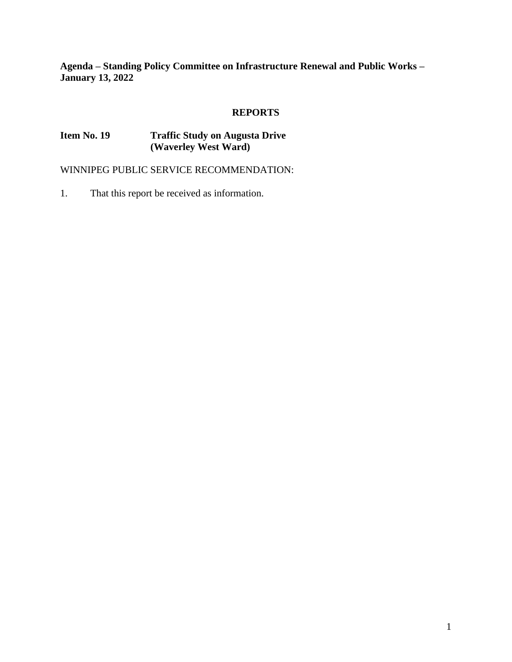**Agenda – Standing Policy Committee on Infrastructure Renewal and Public Works – January 13, 2022**

# **REPORTS**

# **Item No. 19 Traffic Study on Augusta Drive (Waverley West Ward)**

WINNIPEG PUBLIC SERVICE RECOMMENDATION:

1. That this report be received as information.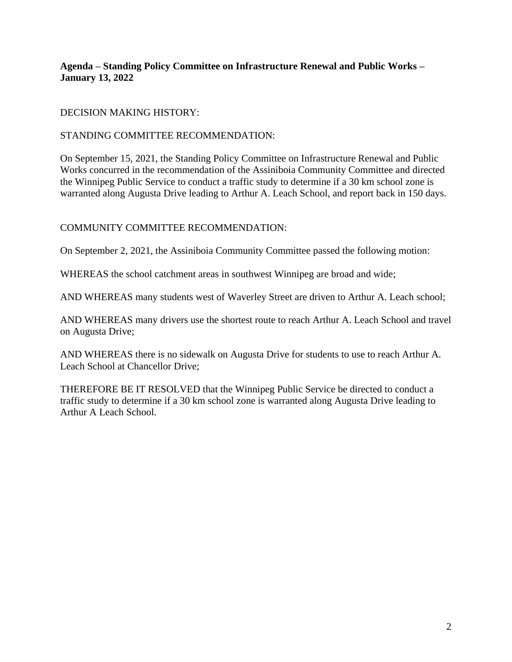# **Agenda – Standing Policy Committee on Infrastructure Renewal and Public Works – January 13, 2022**

## DECISION MAKING HISTORY:

### STANDING COMMITTEE RECOMMENDATION:

On September 15, 2021, the Standing Policy Committee on Infrastructure Renewal and Public Works concurred in the recommendation of the Assiniboia Community Committee and directed the Winnipeg Public Service to conduct a traffic study to determine if a 30 km school zone is warranted along Augusta Drive leading to Arthur A. Leach School, and report back in 150 days.

## COMMUNITY COMMITTEE RECOMMENDATION:

On September 2, 2021, the Assiniboia Community Committee passed the following motion:

WHEREAS the school catchment areas in southwest Winnipeg are broad and wide;

AND WHEREAS many students west of Waverley Street are driven to Arthur A. Leach school;

AND WHEREAS many drivers use the shortest route to reach Arthur A. Leach School and travel on Augusta Drive;

AND WHEREAS there is no sidewalk on Augusta Drive for students to use to reach Arthur A. Leach School at Chancellor Drive;

THEREFORE BE IT RESOLVED that the Winnipeg Public Service be directed to conduct a traffic study to determine if a 30 km school zone is warranted along Augusta Drive leading to Arthur A Leach School.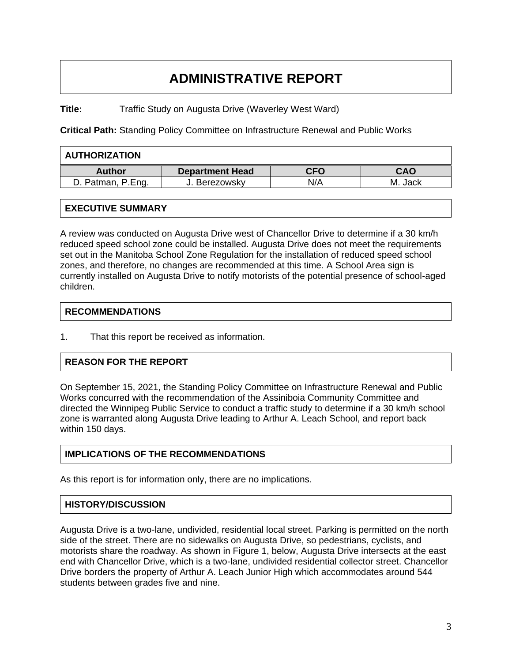# **ADMINISTRATIVE REPORT**

**Title:** Traffic Study on Augusta Drive (Waverley West Ward)

**Critical Path:** Standing Policy Committee on Infrastructure Renewal and Public Works

| <b>AUTHORIZATION</b> |                        |            |            |
|----------------------|------------------------|------------|------------|
| <b>Author</b>        | <b>Department Head</b> | <b>CFO</b> | <b>CAO</b> |
| D. Patman, P.Eng.    | J. Berezowsky          | N/A        | M. Jack    |

## **EXECUTIVE SUMMARY**

A review was conducted on Augusta Drive west of Chancellor Drive to determine if a 30 km/h reduced speed school zone could be installed. Augusta Drive does not meet the requirements set out in the Manitoba School Zone Regulation for the installation of reduced speed school zones, and therefore, no changes are recommended at this time. A School Area sign is currently installed on Augusta Drive to notify motorists of the potential presence of school-aged children.

#### **RECOMMENDATIONS**

1. That this report be received as information.

# **REASON FOR THE REPORT**

On September 15, 2021, the Standing Policy Committee on Infrastructure Renewal and Public Works concurred with the recommendation of the Assiniboia Community Committee and directed the Winnipeg Public Service to conduct a traffic study to determine if a 30 km/h school zone is warranted along Augusta Drive leading to Arthur A. Leach School, and report back within 150 days.

#### **IMPLICATIONS OF THE RECOMMENDATIONS**

As this report is for information only, there are no implications.

#### **HISTORY/DISCUSSION**

Augusta Drive is a two-lane, undivided, residential local street. Parking is permitted on the north side of the street. There are no sidewalks on Augusta Drive, so pedestrians, cyclists, and motorists share the roadway. As shown in Figure 1, below, Augusta Drive intersects at the east end with Chancellor Drive, which is a two-lane, undivided residential collector street. Chancellor Drive borders the property of Arthur A. Leach Junior High which accommodates around 544 students between grades five and nine.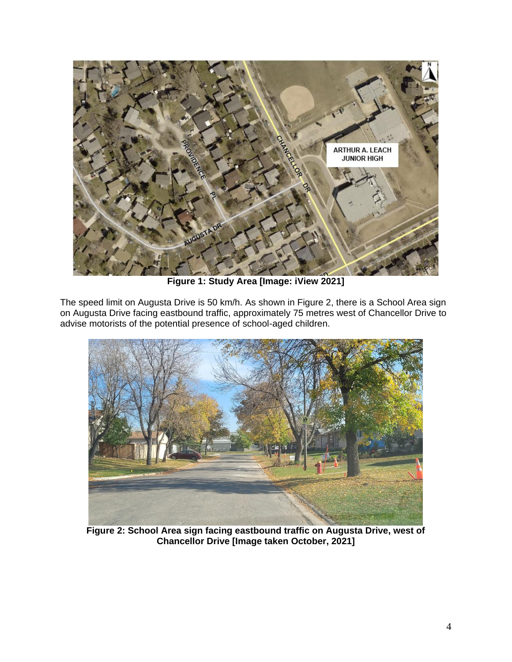

**Figure 1: Study Area [Image: iView 2021]**

The speed limit on Augusta Drive is 50 km/h. As shown in Figure 2, there is a School Area sign on Augusta Drive facing eastbound traffic, approximately 75 metres west of Chancellor Drive to advise motorists of the potential presence of school-aged children.



**Figure 2: School Area sign facing eastbound traffic on Augusta Drive, west of Chancellor Drive [Image taken October, 2021]**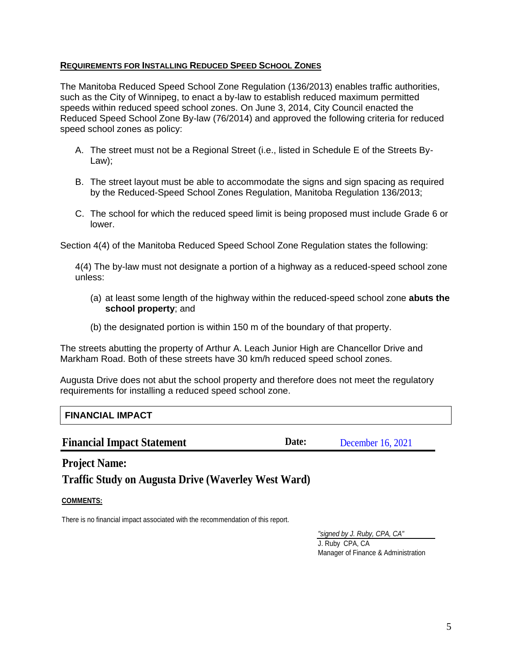#### **REQUIREMENTS FOR INSTALLING REDUCED SPEED SCHOOL ZONES**

The Manitoba Reduced Speed School Zone Regulation (136/2013) enables traffic authorities, such as the City of Winnipeg, to enact a by-law to establish reduced maximum permitted speeds within reduced speed school zones. On June 3, 2014, City Council enacted the Reduced Speed School Zone By-law (76/2014) and approved the following criteria for reduced speed school zones as policy:

- A. The street must not be a Regional Street (i.e., listed in Schedule E of the Streets By-Law);
- B. The street layout must be able to accommodate the signs and sign spacing as required by the Reduced-Speed School Zones Regulation, Manitoba Regulation 136/2013;
- C. The school for which the reduced speed limit is being proposed must include Grade 6 or lower.

Section 4(4) of the Manitoba Reduced Speed School Zone Regulation states the following:

4(4) The by-law must not designate a portion of a highway as a reduced-speed school zone unless:

- (a) at least some length of the highway within the reduced-speed school zone **abuts the school property**; and
- (b) the designated portion is within 150 m of the boundary of that property.

The streets abutting the property of Arthur A. Leach Junior High are Chancellor Drive and Markham Road. Both of these streets have 30 km/h reduced speed school zones.

Augusta Drive does not abut the school property and therefore does not meet the regulatory requirements for installing a reduced speed school zone.

# **FINANCIAL IMPACT**

#### **Financial Impact Statement Date:** Date:

December 16, 2021

**Project Name:**

**Traffic Study on Augusta Drive (Waverley West Ward)**

# **COMMENTS:**

There is no financial impact associated with the recommendation of this report.

*"signed by J. Ruby, CPA, CA"* J. Ruby CPA, CA Manager of Finance & Administration